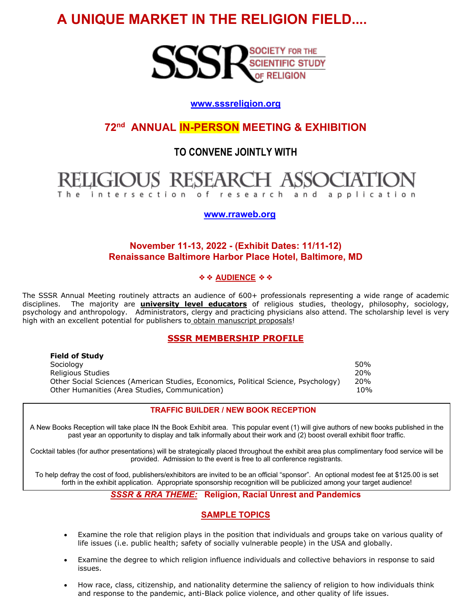# **A UNIQUE MARKET IN THE RELIGION FIELD....**



# **www.sssreligion.org**

**72nd ANNUAL IN-PERSON MEETING & EXHIBITION**

# **TO CONVENE JOINTLY WITH**

#### **RESEARCH** of research and application intersection

 **www.rraweb.org**

# **November 11-13, 2022 - (Exhibit Dates: 11/11-12) Renaissance Baltimore Harbor Place Hotel, Baltimore, MD**

#### ❖❖ **AUDIENCE** ❖❖

The SSSR Annual Meeting routinely attracts an audience of 600+ professionals representing a wide range of academic disciplines. The majority are **university level educators** of religious studies, theology, philosophy, sociology, psychology and anthropology. Administrators, clergy and practicing physicians also attend. The scholarship level is very high with an excellent potential for publishers to obtain manuscript proposals!

## **SSSR MEMBERSHIP PROFILE**

| <b>TIGIU VI JLUUV</b>                                                              |            |
|------------------------------------------------------------------------------------|------------|
| Sociology                                                                          | .50%       |
| Religious Studies                                                                  | 20%        |
| Other Social Sciences (American Studies, Economics, Political Science, Psychology) | <b>20%</b> |
| Other Humanities (Area Studies, Communication)                                     | 10%        |
|                                                                                    |            |

**Field of Study** 

#### **TRAFFIC BUILDER / NEW BOOK RECEPTION**

A New Books Reception will take place IN the Book Exhibit area. This popular event (1) will give authors of new books published in the past year an opportunity to display and talk informally about their work and (2) boost overall exhibit floor traffic.

Cocktail tables (for author presentations) will be strategically placed throughout the exhibit area plus complimentary food service will be provided. Admission to the event is free to all conference registrants.

To help defray the cost of food, publishers/exhibitors are invited to be an official "sponsor". An optional modest fee at \$125.00 is set forth in the exhibit application. Appropriate sponsorship recognition will be publicized among your target audience!

*SSSR & RRA THEME:* **Religion, Racial Unrest and Pandemics** 

## **SAMPLE TOPICS**

- Examine the role that religion plays in the position that individuals and groups take on various quality of life issues (i.e. public health; safety of socially vulnerable people) in the USA and globally.
- Examine the degree to which religion influence individuals and collective behaviors in response to said issues.
- How race, class, citizenship, and nationality determine the saliency of religion to how individuals think and response to the pandemic, anti-Black police violence, and other quality of life issues.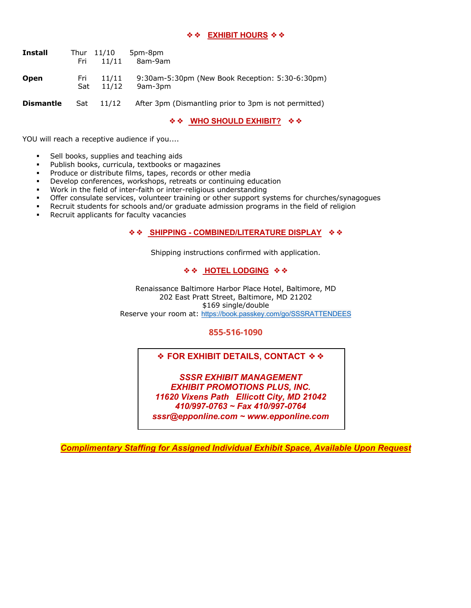#### ❖❖ **EXHIBIT HOURS** ❖❖

| <b>Install</b>   | Fri        | Thur 11/10<br>11/11 | 5pm-8pm<br>8am-9am                                         |
|------------------|------------|---------------------|------------------------------------------------------------|
| <b>Open</b>      | Fri<br>Sat | 11/11<br>11/12      | 9:30am-5:30pm (New Book Reception: 5:30-6:30pm)<br>9am-3pm |
| <b>Dismantle</b> | Sat        | 11/12               | After 3pm (Dismantling prior to 3pm is not permitted)      |

❖❖ **WHO SHOULD EXHIBIT?** ❖❖

YOU will reach a receptive audience if you....

- Sell books, supplies and teaching aids
- Publish books, curricula, textbooks or magazines
- Produce or distribute films, tapes, records or other media
- Develop conferences, workshops, retreats or continuing education
- § Work in the field of inter-faith or inter-religious understanding
- Offer consulate services, volunteer training or other support systems for churches/synagogues
- Recruit students for schools and/or graduate admission programs in the field of religion
- Recruit applicants for faculty vacancies

#### ❖❖ **SHIPPING - COMBINED/LITERATURE DISPLAY** ❖❖

Shipping instructions confirmed with application.

#### ❖❖ **HOTEL LODGING** ❖❖

Renaissance Baltimore Harbor Place Hotel, Baltimore, MD 202 East Pratt Street, Baltimore, MD 21202 \$169 single/double Reserve your room at: https://book.passkey.com/go/SSSRATTENDEES

#### **855-516-1090**

#### ❖ **FOR EXHIBIT DETAILS, CONTACT** ❖❖

*SSSR EXHIBIT MANAGEMENT EXHIBIT PROMOTIONS PLUS, INC. 11620 Vixens Path Ellicott City, MD 21042 410/997-0763 ~ Fax 410/997-0764 sssr@epponline.com ~ www.epponline.com*

*Complimentary Staffing for Assigned Individual Exhibit Space, Available Upon Request*